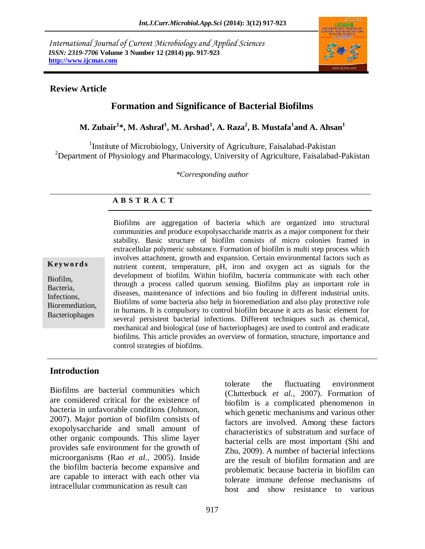*International Journal of Current Microbiology and Applied Sciences ISSN: 2319-7706* **Volume 3 Number 12 (2014) pp. 917-923 http://www.ijcmas.com** 



#### **Review Article**

# **Formation and Significance of Bacterial Biofilms**

**M. Zubair<sup>1</sup> \*, M. Ashraf<sup>1</sup> , M. Arshad<sup>1</sup> , A. Raza<sup>2</sup> , B. Mustafa<sup>1</sup> and A. Ahsan<sup>1</sup>**

<sup>1</sup>Institute of Microbiology, University of Agriculture, Faisalabad-Pakistan <sup>2</sup>Department of Physiology and Pharmacology, University of Agriculture, Faisalabad-Pakistan

*\*Corresponding author*

### **A B S T R A C T**

#### **K ey w o rd s**

Biofilm, Bacteria, Infections, Bioremediation, Bacteriophages

Biofilms are aggregation of bacteria which are organized into structural communities and produce exopolysaccharide matrix as a major component for their stability. Basic structure of biofilm consists of micro colonies framed in extracellular polymeric substance. Formation of biofilm is multi step process which involves attachment, growth and expansion. Certain environmental factors such as nutrient content, temperature, pH, iron and oxygen act as signals for the development of biofilm. Within biofilm, bacteria communicate with each other through a process called quorum sensing. Biofilms play an important role in diseases, maintenance of infections and bio fouling in different industrial units. Biofilms of some bacteria also help in bioremediation and also play protective role in humans. It is compulsory to control biofilm because it acts as basic element for several persistent bacterial infections. Different techniques such as chemical, mechanical and biological (use of bacteriophages) are used to control and eradicate biofilms. This article provides an overview of formation, structure, importance and control strategies of biofilms.

### **Introduction**

Biofilms are bacterial communities which are considered critical for the existence of bacteria in unfavorable conditions (Johnson, 2007). Major portion of biofilm consists of exopolysaccharide and small amount of other organic compounds. This slime layer provides safe environment for the growth of microorganisms (Rao *et al.,* 2005). Inside the biofilm bacteria become expansive and are capable to interact with each other via intracellular communication as result can

tolerate the fluctuating environment (Clutterbuck *et al.,* 2007). Formation of biofilm is a complicated phenomenon in which genetic mechanisms and various other factors are involved. Among these factors characteristics of substratum and surface of bacterial cells are most important (Shi and Zhu, 2009). A number of bacterial infections are the result of biofilm formation and are problematic because bacteria in biofilm can tolerate immune defense mechanisms of host and show resistance to various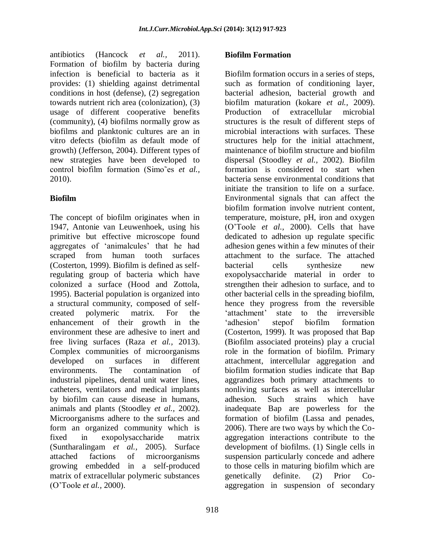antibiotics (Hancock *et al.,* 2011). Formation of biofilm by bacteria during infection is beneficial to bacteria as it provides: (1) shielding against detrimental conditions in host (defense), (2) segregation towards nutrient rich area (colonization), (3) usage of different cooperative benefits (community), (4) biofilms normally grow as biofilms and planktonic cultures are an in vitro defects (biofilm as default mode of growth) (Jefferson, 2004). Different types of new strategies have been developed to control biofilm formation (Simo˜es *et al.,* 2010).

## **Biofilm**

The concept of biofilm originates when in 1947, Antonie van Leuwenhoek, using his primitive but effective microscope found aggregates of ‗animalcules' that he had scraped from human tooth surfaces (Costerton, 1999). Biofilm is defined as selfregulating group of bacteria which have colonized a surface (Hood and Zottola, 1995). Bacterial population is organized into a structural community, composed of selfcreated polymeric matrix. For the enhancement of their growth in the environment these are adhesive to inert and free living surfaces (Raza *et al.,* 2013). Complex communities of microorganisms developed on surfaces in different environments. The contamination of industrial pipelines, dental unit water lines, catheters, ventilators and medical implants by biofilm can cause disease in humans, animals and plants (Stoodley *et al.,* 2002). Microorganisms adhere to the surfaces and form an organized community which is fixed in exopolysaccharide matrix (Suntharalingam *et al.,* 2005). Surface attached factions of microorganisms growing embedded in a self-produced matrix of extracellular polymeric substances (O'Toole *et al.,* 2000).

### **Biofilm Formation**

Biofilm formation occurs in a series of steps, such as formation of conditioning layer, bacterial adhesion, bacterial growth and biofilm maturation (kokare *et al.,* 2009). Production of extracellular microbial structures is the result of different steps of microbial interactions with surfaces. These structures help for the initial attachment, maintenance of biofilm structure and biofilm dispersal (Stoodley *et al.,* 2002). Biofilm formation is considered to start when bacteria sense environmental conditions that initiate the transition to life on a surface. Environmental signals that can affect the biofilm formation involve nutrient content, temperature, moisture, pH, iron and oxygen (O'Toole *et al.,* 2000). Cells that have dedicated to adhesion up regulate specific adhesion genes within a few minutes of their attachment to the surface. The attached bacterial cells synthesize new exopolysaccharide material in order to strengthen their adhesion to surface, and to other bacterial cells in the spreading biofilm, hence they progress from the reversible ‗attachment' state to the irreversible ‗adhesion' stepof biofilm formation (Costerton, 1999). It was proposed that Bap (Biofilm associated proteins) play a crucial role in the formation of biofilm. Primary attachment, intercellular aggregation and biofilm formation studies indicate that Bap aggrandizes both primary attachments to nonliving surfaces as well as intercellular adhesion. Such strains which have inadequate Bap are powerless for the formation of biofilm (Lassa and penades, 2006). There are two ways by which the Coaggregation interactions contribute to the development of biofilms. (1) Single cells in suspension particularly concede and adhere to those cells in maturing biofilm which are genetically definite. (2) Prior Coaggregation in suspension of secondary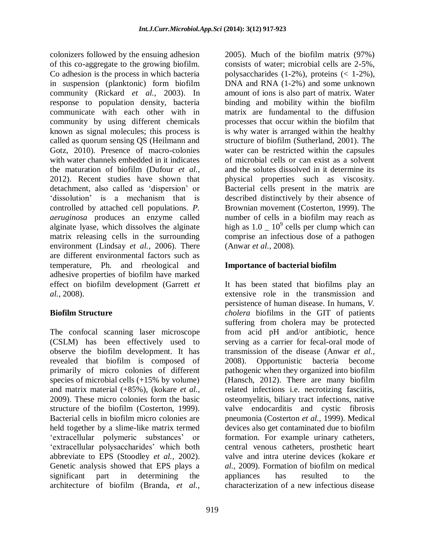colonizers followed by the ensuing adhesion of this co-aggregate to the growing biofilm. Co adhesion is the process in which bacteria in suspension (planktonic) form biofilm community (Rickard *et al.,* 2003). In response to population density, bacteria communicate with each other with in community by using different chemicals known as signal molecules; this process is called as quorum sensing QS (Heilmann and Gotz, 2010). Presence of macro-colonies with water channels embedded in it indicates the maturation of biofilm (Dufour *et al.,* 2012). Recent studies have shown that detachment, also called as 'dispersion' or 'dissolution' is a mechanism that is controlled by attached cell populations. *P. aeruginosa* produces an enzyme called alginate lyase, which dissolves the alginate matrix releasing cells in the surrounding environment (Lindsay *et al.,* 2006). There are different environmental factors such as temperature, Ph. and rheological and adhesive properties of biofilm have marked effect on biofilm development (Garrett *et al.,* 2008).

### **Biofilm Structure**

The confocal scanning laser microscope (CSLM) has been effectively used to observe the biofilm development. It has revealed that biofilm is composed of primarily of micro colonies of different species of microbial cells (+15% by volume) and matrix material (+85%), (kokare *et al.,* 2009). These micro colonies form the basic structure of the biofilm (Costerton, 1999). Bacterial cells in biofilm micro colonies are held together by a slime-like matrix termed ‗extracellular polymeric substances' or ‗extracellular polysaccharides' which both abbreviate to EPS (Stoodley *et al.,* 2002). Genetic analysis showed that EPS plays a significant part in determining the architecture of biofilm (Branda, *et al.,*

919

2005). Much of the biofilm matrix (97%) consists of water; microbial cells are 2-5%, polysaccharides (1-2%), proteins (< 1-2%), DNA and RNA (1-2%) and some unknown amount of ions is also part of matrix. Water binding and mobility within the biofilm matrix are fundamental to the diffusion processes that occur within the biofilm that is why water is arranged within the healthy structure of biofilm (Sutherland, 2001). The water can be restricted within the capsules of microbial cells or can exist as a solvent and the solutes dissolved in it determine its physical properties such as viscosity. Bacterial cells present in the matrix are described distinctively by their absence of Brownian movement (Costerton, 1999). The number of cells in a biofilm may reach as high as  $1.0 \_ 10^9$  cells per clump which can comprise an infectious dose of a pathogen (Anwar *et al.,* 2008).

### **Importance of bacterial biofilm**

It has been stated that biofilms play an extensive role in the transmission and persistence of human disease. In humans, *V. cholera* biofilms in the GIT of patients suffering from cholera may be protected from acid pH and/or antibiotic, hence serving as a carrier for fecal-oral mode of transmission of the disease (Anwar *et al.,* 2008). Opportunistic bacteria become pathogenic when they organized into biofilm (Hansch, 2012). There are many biofilm related infections i.e. necrotizing fasciitis, osteomyelitis, biliary tract infections, native valve endocarditis and cystic fibrosis pneumonia (Costerton *et al.,* 1999). Medical devices also get contaminated due to biofilm formation. For example urinary catheters, central venous catheters, prosthetic heart valve and intra uterine devices (kokare *et al.,* 2009). Formation of biofilm on medical appliances has resulted to the characterization of a new infectious disease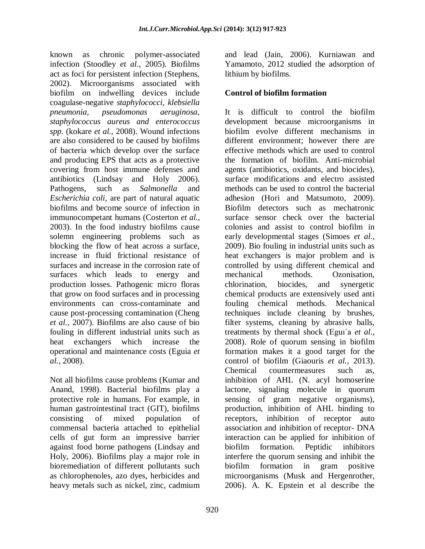known as chronic polymer-associated infection (Stoodley *et al.,* 2005). Biofilms act as foci for persistent infection (Stephens, 2002). Microorganisms associated with biofilm on indwelling devices include coagulase-negative *staphylococci, klebsiella pneumonia, pseudomonas aeruginosa, staphylococcus aureus and enterococcus spp*. (kokare *et al.,* 2008). Wound infections are also considered to be caused by biofilms of bacteria which develop over the surface and producing EPS that acts as a protective covering from host immune defenses and antibiotics (Lindsay and Holy 2006). Pathogens, such as *Salmonella* and *Escherichia coli*, are part of natural aquatic biofilms and become source of infection in immunocompetant humans (Costerton *et al.,* 2003). In the food industry biofilms cause solemn engineering problems such as blocking the flow of heat across a surface, increase in fluid frictional resistance of surfaces and increase in the corrosion rate of surfaces which leads to energy and production losses. Pathogenic micro floras that grow on food surfaces and in processing environments can cross-contaminate and cause post-processing contamination (Cheng *et al.,* 2007). Biofilms are also cause of bio fouling in different industrial units such as heat exchangers which increase the operational and maintenance costs (Eguia *et al.,* 2008).

Not all biofilms cause problems (Kumar and Anand, 1998). Bacterial biofilms play a protective role in humans. For example, in human gastrointestinal tract (GIT), biofilms consisting of mixed population of commensal bacteria attached to epithelial cells of gut form an impressive barrier against food borne pathogens (Lindsay and Holy, 2006). Biofilms play a major role in bioremediation of different pollutants such as chlorophenoles, azo dyes, herbicides and heavy metals such as nickel, zinc, cadmium

and lead (Jain, 2006). Kurniawan and Yamamoto, 2012 studied the adsorption of lithium by biofilms.

### **Control of biofilm formation**

It is difficult to control the biofilm development because microorganisms in biofilm evolve different mechanisms in different environment; however there are effective methods which are used to control the formation of biofilm. Anti-microbial agents (antibiotics, oxidants, and biocides), surface modifications and electro assisted methods can be used to control the bacterial adhesion (Hori and Matsumoto, 2009). Biofilm detectors such as mechatronic surface sensor check over the bacterial colonies and assist to control biofilm in early developmental stages (Simoes *et al.,* 2009). Bio fouling in industrial units such as heat exchangers is major problem and is controlled by using different chemical and mechanical methods. Ozonisation, chlorination, biocides, and synergetic chemical products are extensively used anti fouling chemical methods. Mechanical techniques include cleaning by brushes, filter systems, cleaning by abrasive balls, treatments by thermal shock (Eguı´a *et al.,* 2008). Role of quorum sensing in biofilm formation makes it a good target for the control of biofilm (Giaouris *et al.,* 2013). Chemical countermeasures such as, inhibition of AHL (N. acyl homoserine lactone, signaling molecule in quorum sensing of gram negative organisms), production, inhibition of AHL binding to receptors, inhibition of receptor auto association and inhibition of receptor- DNA interaction can be applied for inhibition of biofilm formation. Peptidic inhibitors interfere the quorum sensing and inhibit the biofilm formation in gram positive microorganisms (Musk and Hergenrother, 2006). A. K. Epstein et al describe the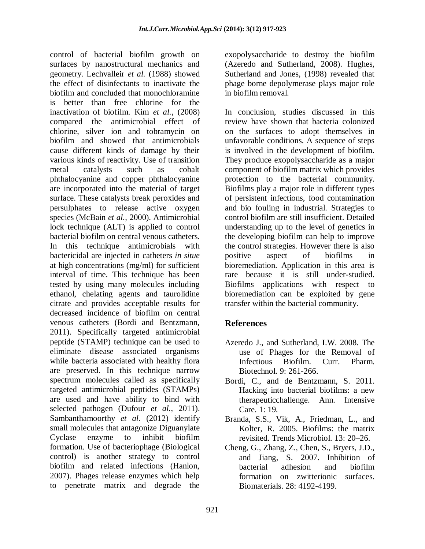control of bacterial biofilm growth on surfaces by nanostructural mechanics and geometry. Lechvalleir *et al.* (1988) showed the effect of disinfectants to inactivate the biofilm and concluded that monochloramine is better than free chlorine for the inactivation of biofilm. Kim *et al.,* (2008) compared the antimicrobial effect of chlorine, silver ion and tobramycin on biofilm and showed that antimicrobials cause different kinds of damage by their various kinds of reactivity. Use of transition metal catalysts such as cobalt phthalocyanine and copper phthalocyanine are incorporated into the material of target surface. These catalysts break peroxides and persulphates to release active oxygen species (McBain *et al.,* 2000). Antimicrobial lock technique (ALT) is applied to control bacterial biofilm on central venous catheters. In this technique antimicrobials with bactericidal are injected in catheters *in situe* at high concentrations (mg/ml) for sufficient interval of time. This technique has been tested by using many molecules including ethanol, chelating agents and taurolidine citrate and provides acceptable results for decreased incidence of biofilm on central venous catheters (Bordi and Bentzmann, 2011). Specifically targeted antimicrobial peptide (STAMP) technique can be used to eliminate disease associated organisms while bacteria associated with healthy flora are preserved. In this technique narrow spectrum molecules called as specifically targeted antimicrobial peptides (STAMPs) are used and have ability to bind with selected pathogen (Dufour *et al.,* 2011). Sambanthamoorthy *et al.* (2012) identify small molecules that antagonize Diguanylate Cyclase enzyme to inhibit biofilm formation. Use of bacteriophage (Biological control) is another strategy to control biofilm and related infections (Hanlon, 2007). Phages release enzymes which help to penetrate matrix and degrade the

exopolysaccharide to destroy the biofilm (Azeredo and Sutherland, 2008). Hughes, Sutherland and Jones, (1998) revealed that phage borne depolymerase plays major role in biofilm removal.

In conclusion, studies discussed in this review have shown that bacteria colonized on the surfaces to adopt themselves in unfavorable conditions. A sequence of steps is involved in the development of biofilm. They produce exopolysaccharide as a major component of biofilm matrix which provides protection to the bacterial community. Biofilms play a major role in different types of persistent infections, food contamination and bio fouling in industrial. Strategies to control biofilm are still insufficient. Detailed understanding up to the level of genetics in the developing biofilm can help to improve the control strategies. However there is also positive aspect of biofilms in bioremediation. Application in this area is rare because it is still under-studied. Biofilms applications with respect to bioremediation can be exploited by gene transfer within the bacterial community.

## **References**

- Azeredo J., and Sutherland, I.W. 2008. The use of Phages for the Removal of Infectious Biofilm. Curr. Pharm*.*  Biotechnol. 9: 261-266.
- Bordi, C., and de Bentzmann, S. 2011. Hacking into bacterial biofilms: a new therapeuticchallenge. Ann. Intensive Care. 1: 19.
- Branda, S.S., Vik, A., Friedman, L., and Kolter, R. 2005. Biofilms: the matrix revisited. Trends Microbiol. 13: 20–26.
- Cheng, G., Zhang, Z., Chen, S., Bryers, J.D., and Jiang, S. 2007. Inhibition of bacterial adhesion and biofilm formation on zwitterionic surfaces. Biomaterials. 28: 4192-4199.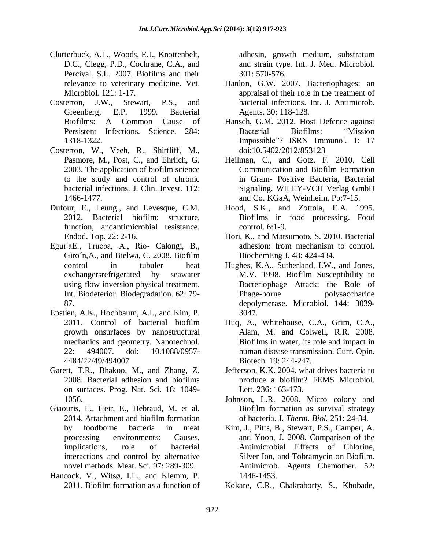- Clutterbuck, A.L., Woods, E.J., Knottenbelt, D.C., Clegg, P.D., Cochrane, C.A., and Percival. S.L. 2007. Biofilms and their relevance to veterinary medicine. Vet. Microbiol*.* 121: 1-17.
- Costerton, J.W., Stewart, P.S., and Greenberg, E.P. 1999. Bacterial Biofilms: A Common Cause of Persistent Infections. Science. 284: 1318-1322.
- Costerton, W., Veeh, R., Shirtliff, M., Pasmore, M., Post, C., and Ehrlich, G. 2003. The application of biofilm science to the study and control of chronic bacterial infections. J. Clin. Invest*.* 112: 1466-1477.
- Dufour, E., Leung., and Levesque, C.M. 2012. Bacterial biofilm: structure, function, andantimicrobial resistance. Endod. Top. 22: 2-16.
- Eguı´aE., Trueba, A., Rio- Calongi, B., Giro´n,A., and Bielwa, C. 2008. Biofilm control in tubuler heat exchangersrefrigerated by seawater using flow inversion physical treatment. Int. Biodeterior. Biodegradation. 62: 79- 87.
- Epstien, A.K., Hochbaum, A.I., and Kim, P. 2011. Control of bacterial biofilm growth onsurfaces by nanostructural mechanics and geometry. Nanotechnol. 22: 494007. doi: 10.1088/0957- 4484/22/49/494007
- Garett, T.R., Bhakoo, M., and Zhang, Z. 2008. Bacterial adhesion and biofilms on surfaces. Prog. Nat. Sci. 18: 1049- 1056.
- Giaouris, E., Heir, E., Hebraud, M. et al. 2014. Attachment and biofilm formation by foodborne bacteria in meat processing environments: Causes, implications, role of bacterial interactions and control by alternative novel methods. Meat. Sci. 97: 289-309.
- Hancock, V., Witsø, I.L., and Klemm, P. 2011. Biofilm formation as a function of

adhesin, growth medium, substratum and strain type. Int. J. Med. Microbiol. 301: 570-576.

- Hanlon, G.W. 2007. Bacteriophages: an appraisal of their role in the treatment of bacterial infections. Int. J. Antimicrob. Agents. 30: 118-128.
- Hansch, G.M. 2012. Host Defence against Bacterial Biofilms: "Mission Impossible"? ISRN Immunol. 1: 17 doi:10.5402/2012/853123
- Heilman, C., and Gotz, F. 2010. Cell Communication and Biofilm Formation in Gram- Positive Bacteria, Bacterial Signaling. WILEY-VCH Verlag GmbH and Co. KGaA, Weinheim. Pp:7-15.
- Hood, S.K., and Zottola, E.A. 1995. Biofilms in food processing. Food control. 6:1-9.
- Hori, K., and Matsumoto, S. 2010. Bacterial adhesion: from mechanism to control. BiochemEng J. 48: 424-434.
- Hughes, K.A., Sutherland, I.W., and Jones, M.V. 1998. Biofilm Susceptibility to Bacteriophage Attack: the Role of Phage-borne polysaccharide depolymerase. Microbiol. 144: 3039- 3047.
- Huq, A., Whitehouse, C.A., Grim, C.A., Alam, M. and Colwell, R.R. 2008. Biofilms in water, its role and impact in human disease transmission. Curr. Opin. Biotech. 19: 244-247.
- Jefferson, K.K. 2004. what drives bacteria to produce a biofilm? FEMS Microbiol. Lett. 236: 163-173.
- Johnson, L.R. 2008. Micro colony and Biofilm formation as survival strategy of bacteria. J. *Therm. Biol.* 251: 24-34.
- Kim, J., Pitts, B., Stewart, P.S., Camper, A. and Yoon, J. 2008. Comparison of the Antimicrobial Effects of Chlorine, Silver Ion, and Tobramycin on Biofilm. Antimicrob. Agents Chemother. 52: 1446-1453.
- Kokare, C.R., Chakraborty, S., Khobade,